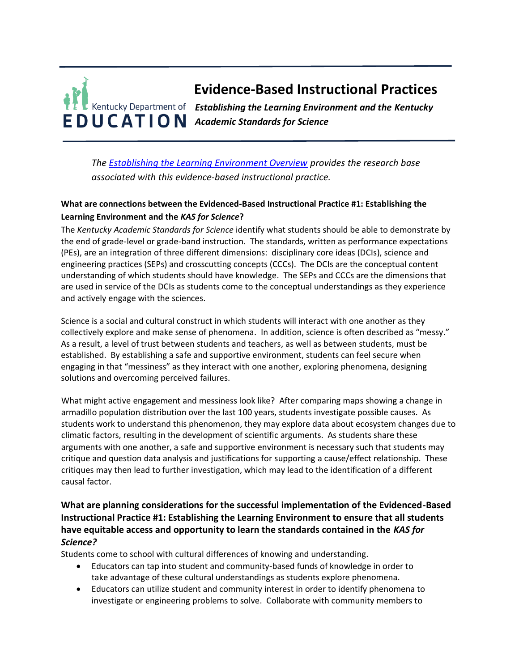# **Evidence-Based Instructional Practices Kentucky Department of Establishing the Learning Environment and the Kentucky** *Academic Standards for Science*

*The [Establishing the Learning Environment Overview](https://education.ky.gov/curriculum/standards/kyacadstand/Documents/EBIP_1_Establishing_the_Learning_Environment.pdf) provides the research base associated with this evidence-based instructional practice.*

## **What are connections between the Evidenced-Based Instructional Practice #1: Establishing the Learning Environment and the** *KAS for Science***?**

The *Kentucky Academic Standards for Science* identify what students should be able to demonstrate by the end of grade-level or grade-band instruction. The standards, written as performance expectations (PEs), are an integration of three different dimensions: disciplinary core ideas (DCIs), science and engineering practices (SEPs) and crosscutting concepts (CCCs). The DCIs are the conceptual content understanding of which students should have knowledge. The SEPs and CCCs are the dimensions that are used in service of the DCIs as students come to the conceptual understandings as they experience and actively engage with the sciences.

Science is a social and cultural construct in which students will interact with one another as they collectively explore and make sense of phenomena. In addition, science is often described as "messy." As a result, a level of trust between students and teachers, as well as between students, must be established. By establishing a safe and supportive environment, students can feel secure when engaging in that "messiness" as they interact with one another, exploring phenomena, designing solutions and overcoming perceived failures.

What might active engagement and messiness look like? After comparing maps showing a change in armadillo population distribution over the last 100 years, students investigate possible causes. As students work to understand this phenomenon, they may explore data about ecosystem changes due to climatic factors, resulting in the development of scientific arguments. As students share these arguments with one another, a safe and supportive environment is necessary such that students may critique and question data analysis and justifications for supporting a cause/effect relationship. These critiques may then lead to further investigation, which may lead to the identification of a different causal factor.

### **What are planning considerations for the successful implementation of the Evidenced-Based Instructional Practice #1: Establishing the Learning Environment to ensure that all students have equitable access and opportunity to learn the standards contained in the** *KAS for Science?*

Students come to school with cultural differences of knowing and understanding.

- Educators can tap into student and community-based funds of knowledge in order to take advantage of these cultural understandings as students explore phenomena.
- Educators can utilize student and community interest in order to identify phenomena to investigate or engineering problems to solve. Collaborate with community members to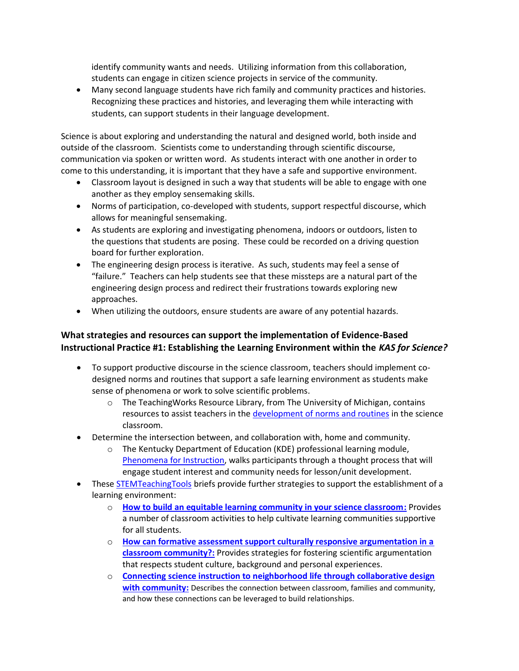identify community wants and needs. Utilizing information from this collaboration, students can engage in citizen science projects in service of the community.

• Many second language students have rich family and community practices and histories. Recognizing these practices and histories, and leveraging them while interacting with students, can support students in their language development.

Science is about exploring and understanding the natural and designed world, both inside and outside of the classroom. Scientists come to understanding through scientific discourse, communication via spoken or written word. As students interact with one another in order to come to this understanding, it is important that they have a safe and supportive environment.

- Classroom layout is designed in such a way that students will be able to engage with one another as they employ sensemaking skills.
- Norms of participation, co-developed with students, support respectful discourse, which allows for meaningful sensemaking.
- As students are exploring and investigating phenomena, indoors or outdoors, listen to the questions that students are posing. These could be recorded on a driving question board for further exploration.
- The engineering design process is iterative. As such, students may feel a sense of "failure." Teachers can help students see that these missteps are a natural part of the engineering design process and redirect their frustrations towards exploring new approaches.
- When utilizing the outdoors, ensure students are aware of any potential hazards.

#### **What strategies and resources can support the implementation of Evidence-Based Instructional Practice #1: Establishing the Learning Environment within the** *KAS for Science?*

- To support productive discourse in the science classroom, teachers should implement codesigned norms and routines that support a safe learning environment as students make sense of phenomena or work to solve scientific problems.
	- $\circ$  The Teaching Works Resource Library, from The University of Michigan, contains resources to assist teachers in the [development of norms and routines](https://library.teachingworks.org/curriculum-resources/materials/science-implementing-norms-and-routines/) in the science classroom.
- Determine the intersection between, and collaboration with, home and community.
	- o The Kentucky Department of Education (KDE) professional learning module, [Phenomena for Instruction,](https://kystandards.org/standards-resources/science-resources/sci-pl-mods/) walks participants through a thought process that will engage student interest and community needs for lesson/unit development.
- These [STEMTeachingTools](http://stemteachingtools.org/) briefs provide further strategies to support the establishment of a learning environment:
	- o **[How to build an equitable learning community in your science classroom:](http://stemteachingtools.org/brief/54)** Provides a number of classroom activities to help cultivate learning communities supportive for all students.
	- o **[How can formative assessment support culturally responsive argumentation in a](http://stemteachingtools.org/brief/25)  [classroom community?:](http://stemteachingtools.org/brief/25)** Provides strategies for fostering scientific argumentation that respects student culture, background and personal experiences.
	- o **[Connecting science instruction to neighborhood life through collaborative design](http://stemteachingtools.org/brief/73)  [with community:](http://stemteachingtools.org/brief/73)** Describes the connection between classroom, families and community, and how these connections can be leveraged to build relationships.